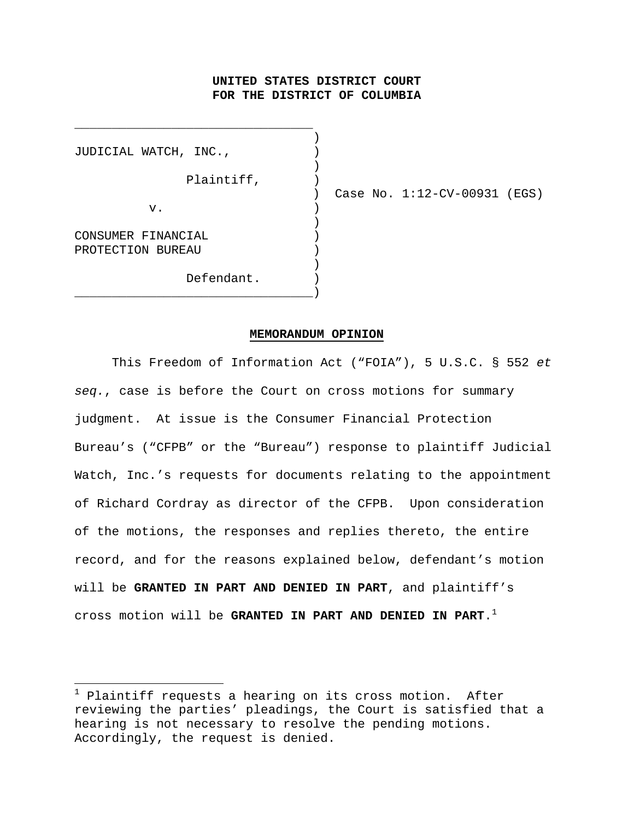# **UNITED STATES DISTRICT COURT FOR THE DISTRICT OF COLUMBIA**

)

)

 $\lambda$ 

JUDICIAL WATCH, INC.,  $\qquad \qquad$  ) Plaintiff,  $)$  $\mathbf v$ .  $\qquad \qquad \qquad$  ) CONSUMER FINANCIAL ) PROTECTION BUREAU ) Defendant.

\_\_\_\_\_\_\_\_\_\_\_\_\_\_\_\_\_\_\_\_\_\_\_\_\_\_\_\_\_\_\_\_)

\_\_\_\_\_\_\_\_\_\_\_\_\_\_\_\_\_\_\_\_\_\_\_\_\_\_\_\_\_\_\_\_

) Case No. 1:12-CV-00931 (EGS)

#### **MEMORANDUM OPINION**

 This Freedom of Information Act ("FOIA"), 5 U.S.C. § 552 *et seq.*, case is before the Court on cross motions for summary judgment. At issue is the Consumer Financial Protection Bureau's ("CFPB" or the "Bureau") response to plaintiff Judicial Watch, Inc.'s requests for documents relating to the appointment of Richard Cordray as director of the CFPB. Upon consideration of the motions, the responses and replies thereto, the entire record, and for the reasons explained below, defendant's motion will be **GRANTED IN PART AND DENIED IN PART**, and plaintiff's cross motion will be **GRANTED IN PART AND DENIED IN PART**.1

<sup>1</sup> Plaintiff requests a hearing on its cross motion. After reviewing the parties' pleadings, the Court is satisfied that a hearing is not necessary to resolve the pending motions. Accordingly, the request is denied.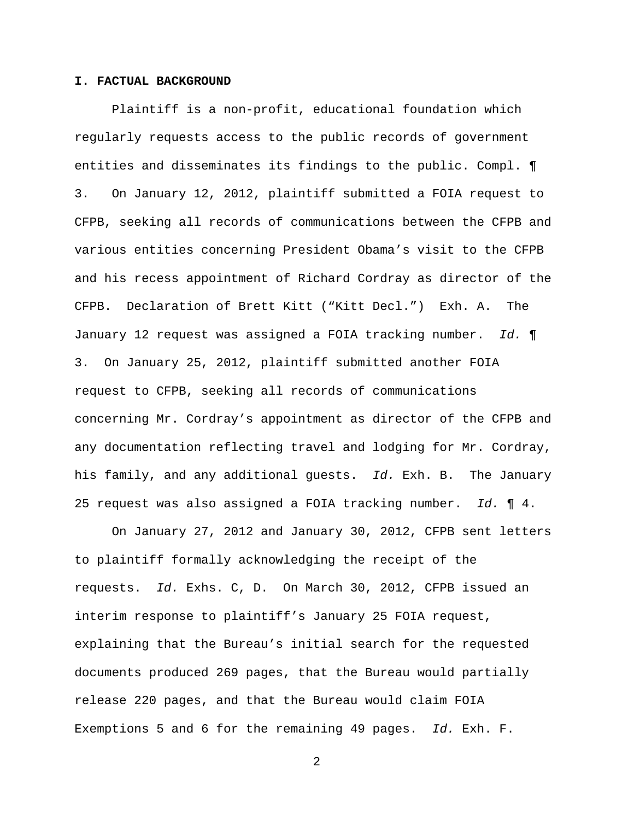### **I. FACTUAL BACKGROUND**

Plaintiff is a non-profit, educational foundation which regularly requests access to the public records of government entities and disseminates its findings to the public. Compl. ¶ 3. On January 12, 2012, plaintiff submitted a FOIA request to CFPB, seeking all records of communications between the CFPB and various entities concerning President Obama's visit to the CFPB and his recess appointment of Richard Cordray as director of the CFPB. Declaration of Brett Kitt ("Kitt Decl.") Exh. A. The January 12 request was assigned a FOIA tracking number. *Id.* ¶ 3. On January 25, 2012, plaintiff submitted another FOIA request to CFPB, seeking all records of communications concerning Mr. Cordray's appointment as director of the CFPB and any documentation reflecting travel and lodging for Mr. Cordray, his family, and any additional guests. *Id.* Exh. B. The January 25 request was also assigned a FOIA tracking number. *Id.* ¶ 4.

On January 27, 2012 and January 30, 2012, CFPB sent letters to plaintiff formally acknowledging the receipt of the requests. *Id.* Exhs. C, D. On March 30, 2012, CFPB issued an interim response to plaintiff's January 25 FOIA request, explaining that the Bureau's initial search for the requested documents produced 269 pages, that the Bureau would partially release 220 pages, and that the Bureau would claim FOIA Exemptions 5 and 6 for the remaining 49 pages. *Id.* Exh. F.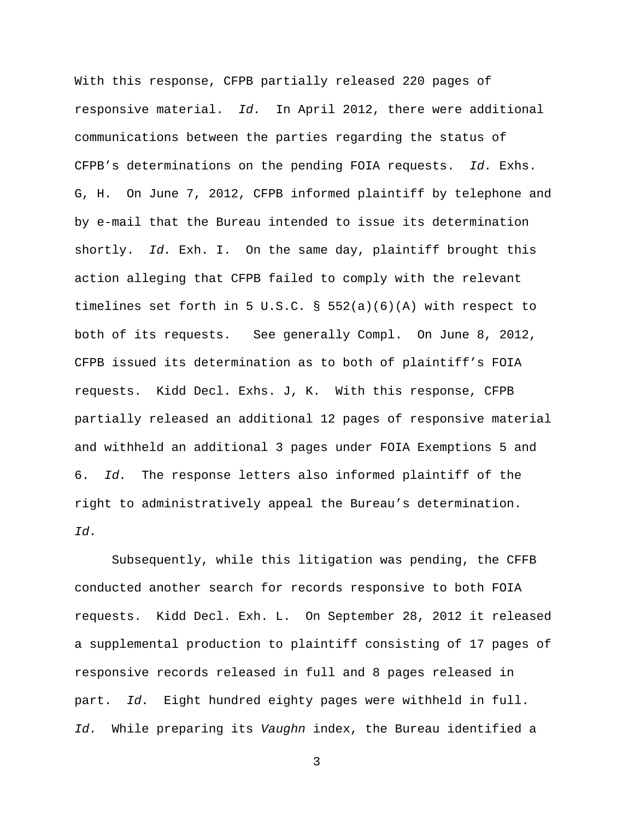With this response, CFPB partially released 220 pages of responsive material. *Id.* In April 2012, there were additional communications between the parties regarding the status of CFPB's determinations on the pending FOIA requests. *Id.* Exhs. G, H. On June 7, 2012, CFPB informed plaintiff by telephone and by e-mail that the Bureau intended to issue its determination shortly. *Id.* Exh. I. On the same day, plaintiff brought this action alleging that CFPB failed to comply with the relevant timelines set forth in 5 U.S.C. § 552(a)(6)(A) with respect to both of its requests. See generally Compl. On June 8, 2012, CFPB issued its determination as to both of plaintiff's FOIA requests. Kidd Decl. Exhs. J, K. With this response, CFPB partially released an additional 12 pages of responsive material and withheld an additional 3 pages under FOIA Exemptions 5 and 6. *Id.* The response letters also informed plaintiff of the right to administratively appeal the Bureau's determination. *Id.*

Subsequently, while this litigation was pending, the CFFB conducted another search for records responsive to both FOIA requests. Kidd Decl. Exh. L. On September 28, 2012 it released a supplemental production to plaintiff consisting of 17 pages of responsive records released in full and 8 pages released in part. *Id.* Eight hundred eighty pages were withheld in full. *Id.* While preparing its *Vaughn* index, the Bureau identified a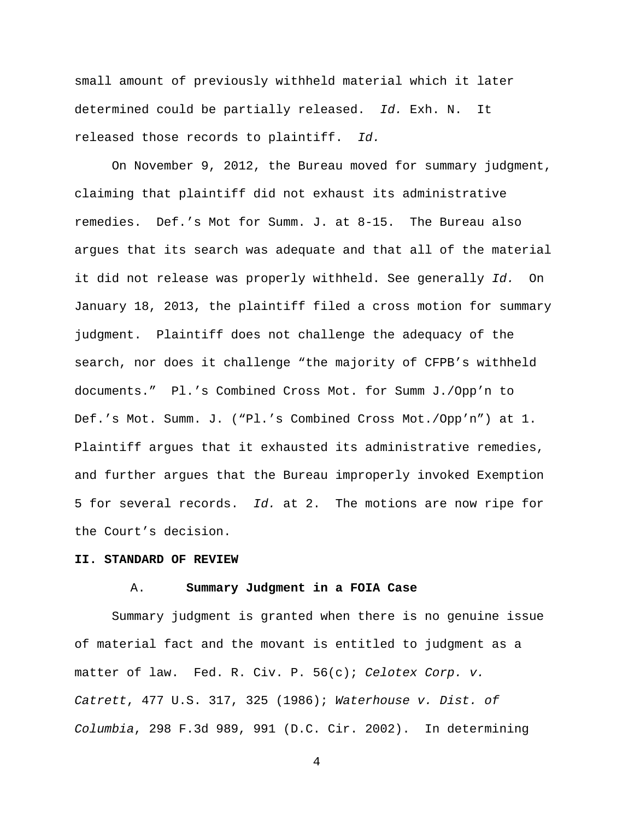small amount of previously withheld material which it later determined could be partially released. *Id.* Exh. N. It released those records to plaintiff. *Id.*

 On November 9, 2012, the Bureau moved for summary judgment, claiming that plaintiff did not exhaust its administrative remedies. Def.'s Mot for Summ. J. at 8-15. The Bureau also argues that its search was adequate and that all of the material it did not release was properly withheld. See generally *Id.* On January 18, 2013, the plaintiff filed a cross motion for summary judgment. Plaintiff does not challenge the adequacy of the search, nor does it challenge "the majority of CFPB's withheld documents." Pl.'s Combined Cross Mot. for Summ J./Opp'n to Def.'s Mot. Summ. J. ("Pl.'s Combined Cross Mot./Opp'n") at 1. Plaintiff argues that it exhausted its administrative remedies, and further argues that the Bureau improperly invoked Exemption 5 for several records. *Id.* at 2. The motions are now ripe for the Court's decision.

#### **II. STANDARD OF REVIEW**

#### A. **Summary Judgment in a FOIA Case**

Summary judgment is granted when there is no genuine issue of material fact and the movant is entitled to judgment as a matter of law. Fed. R. Civ. P. 56(c); *Celotex Corp. v. Catrett*, 477 U.S. 317, 325 (1986); *Waterhouse v. Dist. of Columbia*, 298 F.3d 989, 991 (D.C. Cir. 2002). In determining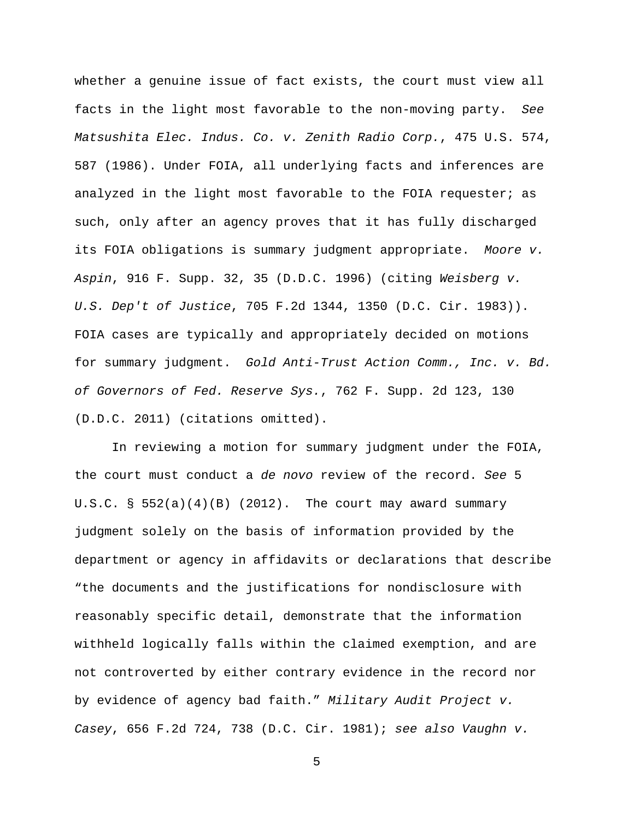whether a genuine issue of fact exists, the court must view all facts in the light most favorable to the non-moving party. *See Matsushita Elec. Indus. Co. v. Zenith Radio Corp.*, 475 U.S. 574, 587 (1986). Under FOIA, all underlying facts and inferences are analyzed in the light most favorable to the FOIA requester; as such, only after an agency proves that it has fully discharged its FOIA obligations is summary judgment appropriate.*Moore v. Aspin*, 916 F. Supp. 32, 35 (D.D.C. 1996) (citing *Weisberg v. U.S. Dep't of Justice*, 705 F.2d 1344, 1350 (D.C. Cir. 1983)). FOIA cases are typically and appropriately decided on motions for summary judgment. *Gold Anti-Trust Action Comm., Inc. v. Bd. of Governors of Fed. Reserve Sys.*, 762 F. Supp. 2d 123, 130 (D.D.C. 2011) (citations omitted).

In reviewing a motion for summary judgment under the FOIA, the court must conduct a *de novo* review of the record. *See* 5 U.S.C.  $\S$  552(a)(4)(B) (2012). The court may award summary judgment solely on the basis of information provided by the department or agency in affidavits or declarations that describe "the documents and the justifications for nondisclosure with reasonably specific detail, demonstrate that the information withheld logically falls within the claimed exemption, and are not controverted by either contrary evidence in the record nor by evidence of agency bad faith." *Military Audit Project v. Casey*, 656 F.2d 724, 738 (D.C. Cir. 1981); *see also Vaughn v.*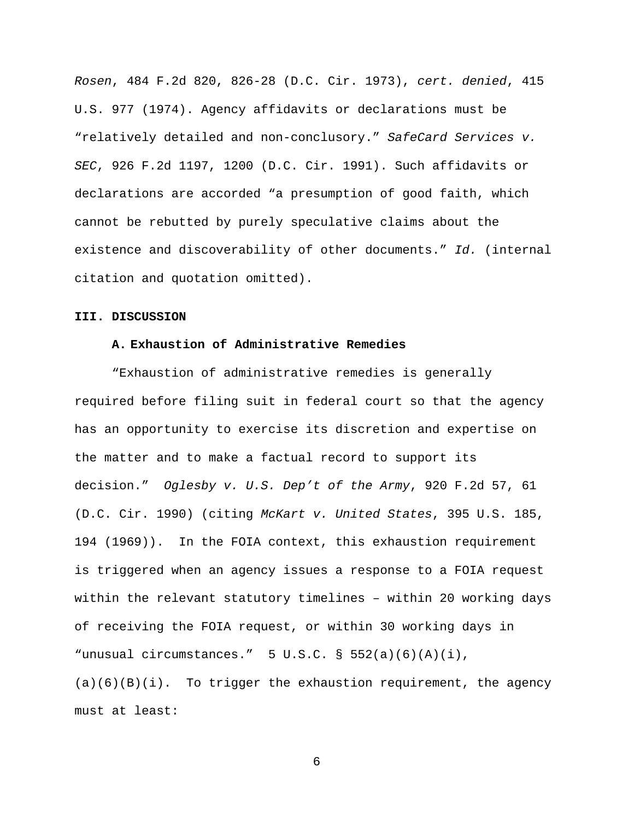*Rosen*, 484 F.2d 820, 826-28 (D.C. Cir. 1973), *cert. denied*, 415 U.S. 977 (1974). Agency affidavits or declarations must be "relatively detailed and non-conclusory." *SafeCard Services v. SEC*, 926 F.2d 1197, 1200 (D.C. Cir. 1991). Such affidavits or declarations are accorded "a presumption of good faith, which cannot be rebutted by purely speculative claims about the existence and discoverability of other documents." *Id.* (internal citation and quotation omitted).

#### **III. DISCUSSION**

#### **A. Exhaustion of Administrative Remedies**

"Exhaustion of administrative remedies is generally required before filing suit in federal court so that the agency has an opportunity to exercise its discretion and expertise on the matter and to make a factual record to support its decision." *Oglesby v. U.S. Dep't of the Army*, 920 F.2d 57, 61 (D.C. Cir. 1990) (citing *McKart v. United States*, 395 U.S. 185, 194 (1969)). In the FOIA context, this exhaustion requirement is triggered when an agency issues a response to a FOIA request within the relevant statutory timelines – within 20 working days of receiving the FOIA request, or within 30 working days in "unusual circumstances." 5 U.S.C. § 552(a)(6)(A)(i),  $(a)(6)(B)(i)$ . To trigger the exhaustion requirement, the agency must at least: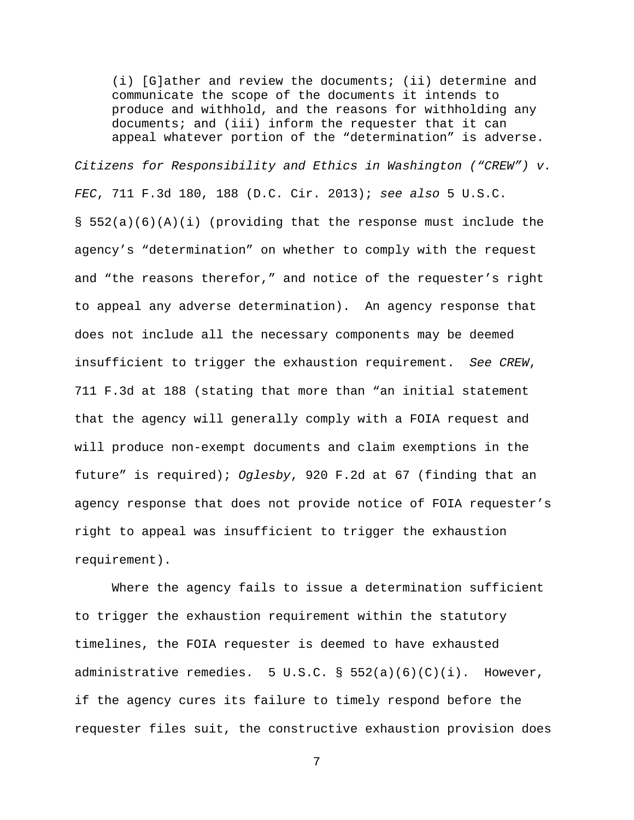(i) [G]ather and review the documents; (ii) determine and communicate the scope of the documents it intends to produce and withhold, and the reasons for withholding any documents; and (iii) inform the requester that it can appeal whatever portion of the "determination" is adverse.

*Citizens for Responsibility and Ethics in Washington ("CREW") v. FEC*, 711 F.3d 180, 188 (D.C. Cir. 2013); *see also* 5 U.S.C. § 552(a)(6)(A)(i) (providing that the response must include the agency's "determination" on whether to comply with the request and "the reasons therefor," and notice of the requester's right to appeal any adverse determination). An agency response that does not include all the necessary components may be deemed insufficient to trigger the exhaustion requirement. *See CREW*, 711 F.3d at 188 (stating that more than "an initial statement that the agency will generally comply with a FOIA request and will produce non-exempt documents and claim exemptions in the future" is required); *Oglesby*, 920 F.2d at 67 (finding that an agency response that does not provide notice of FOIA requester's right to appeal was insufficient to trigger the exhaustion requirement).

Where the agency fails to issue a determination sufficient to trigger the exhaustion requirement within the statutory timelines, the FOIA requester is deemed to have exhausted administrative remedies.  $5 \text{ U.S.C.}$  §  $552(a)(6)(c)(i)$ . However, if the agency cures its failure to timely respond before the requester files suit, the constructive exhaustion provision does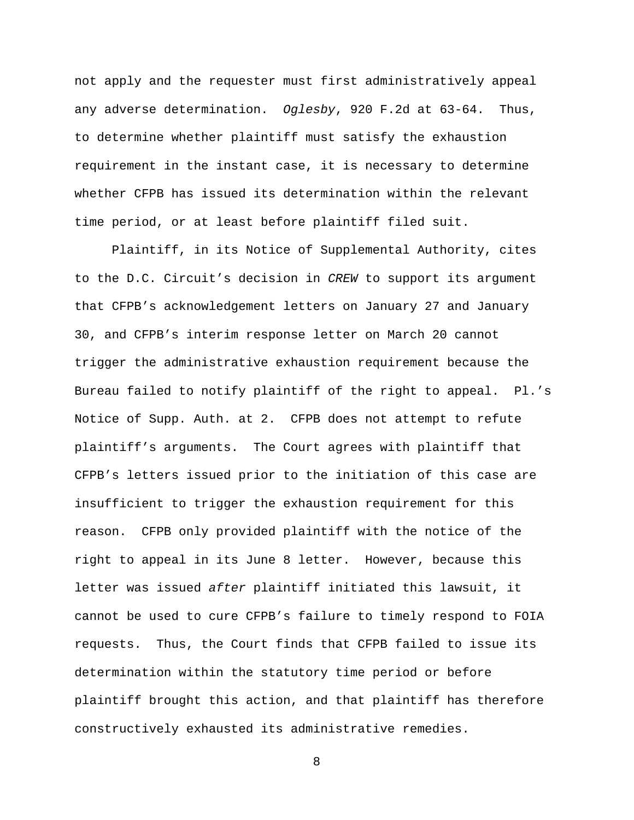not apply and the requester must first administratively appeal any adverse determination. *Oglesby*, 920 F.2d at 63-64. Thus, to determine whether plaintiff must satisfy the exhaustion requirement in the instant case, it is necessary to determine whether CFPB has issued its determination within the relevant time period, or at least before plaintiff filed suit.

Plaintiff, in its Notice of Supplemental Authority, cites to the D.C. Circuit's decision in *CREW* to support its argument that CFPB's acknowledgement letters on January 27 and January 30, and CFPB's interim response letter on March 20 cannot trigger the administrative exhaustion requirement because the Bureau failed to notify plaintiff of the right to appeal. Pl.'s Notice of Supp. Auth. at 2. CFPB does not attempt to refute plaintiff's arguments. The Court agrees with plaintiff that CFPB's letters issued prior to the initiation of this case are insufficient to trigger the exhaustion requirement for this reason. CFPB only provided plaintiff with the notice of the right to appeal in its June 8 letter. However, because this letter was issued *after* plaintiff initiated this lawsuit, it cannot be used to cure CFPB's failure to timely respond to FOIA requests. Thus, the Court finds that CFPB failed to issue its determination within the statutory time period or before plaintiff brought this action, and that plaintiff has therefore constructively exhausted its administrative remedies.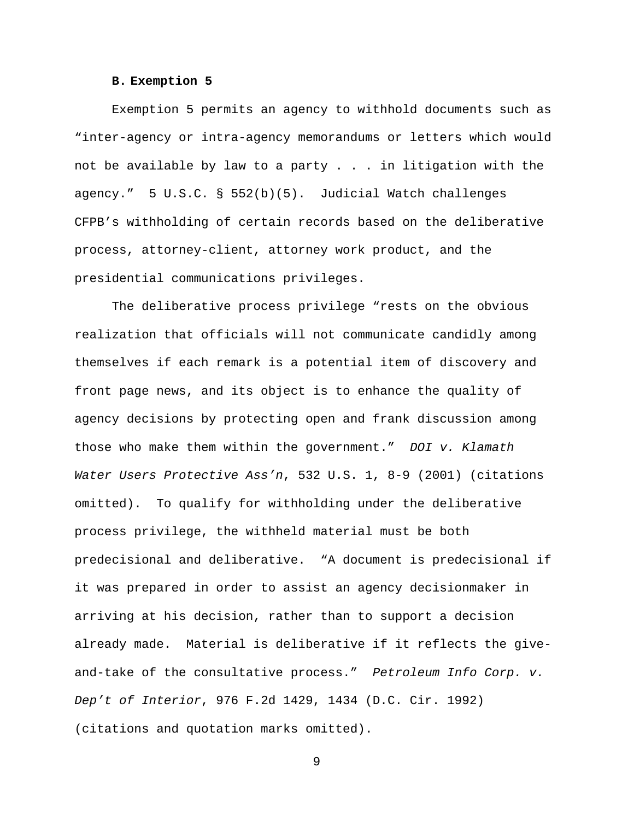#### **B. Exemption 5**

Exemption 5 permits an agency to withhold documents such as "inter-agency or intra-agency memorandums or letters which would not be available by law to a party  $\ldots$  . in litigation with the agency." 5 U.S.C. § 552(b)(5). Judicial Watch challenges CFPB's withholding of certain records based on the deliberative process, attorney-client, attorney work product, and the presidential communications privileges.

 The deliberative process privilege "rests on the obvious realization that officials will not communicate candidly among themselves if each remark is a potential item of discovery and front page news, and its object is to enhance the quality of agency decisions by protecting open and frank discussion among those who make them within the government." *DOI v. Klamath Water Users Protective Ass'n*, 532 U.S. 1, 8-9 (2001) (citations omitted). To qualify for withholding under the deliberative process privilege, the withheld material must be both predecisional and deliberative. "A document is predecisional if it was prepared in order to assist an agency decisionmaker in arriving at his decision, rather than to support a decision already made. Material is deliberative if it reflects the giveand-take of the consultative process." *Petroleum Info Corp. v. Dep't of Interior*, 976 F.2d 1429, 1434 (D.C. Cir. 1992) (citations and quotation marks omitted).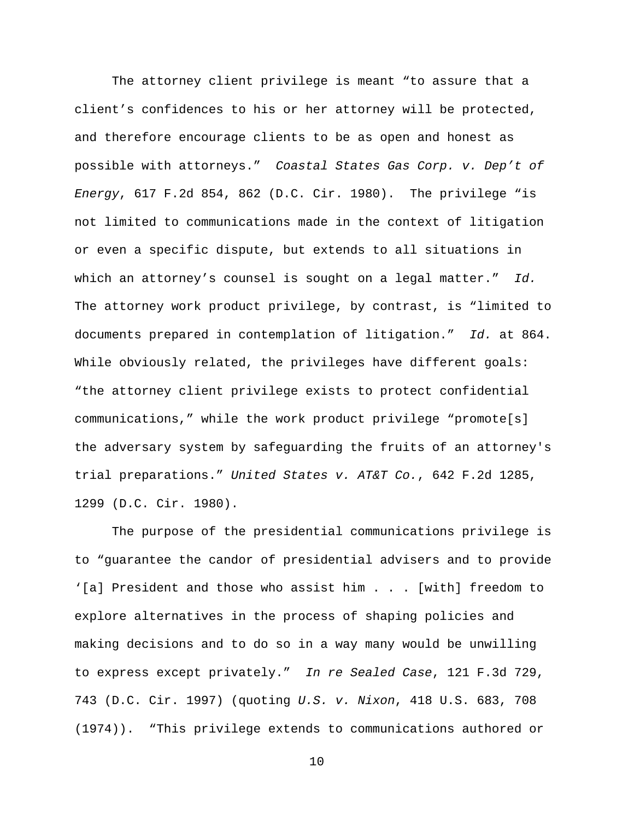The attorney client privilege is meant "to assure that a client's confidences to his or her attorney will be protected, and therefore encourage clients to be as open and honest as possible with attorneys." *Coastal States Gas Corp. v. Dep't of Energy*, 617 F.2d 854, 862 (D.C. Cir. 1980). The privilege "is not limited to communications made in the context of litigation or even a specific dispute, but extends to all situations in which an attorney's counsel is sought on a legal matter." *Id.* The attorney work product privilege, by contrast, is "limited to documents prepared in contemplation of litigation." *Id.* at 864. While obviously related, the privileges have different goals: "the attorney client privilege exists to protect confidential communications," while the work product privilege "promote[s] the adversary system by safeguarding the fruits of an attorney's trial preparations." *United States v. AT&T Co.*, 642 F.2d 1285, 1299 (D.C. Cir. 1980).

 The purpose of the presidential communications privilege is to "guarantee the candor of presidential advisers and to provide '[a] President and those who assist him . . . [with] freedom to explore alternatives in the process of shaping policies and making decisions and to do so in a way many would be unwilling to express except privately." *In re Sealed Case*, 121 F.3d 729, 743 (D.C. Cir. 1997) (quoting *U.S. v. Nixon*, 418 U.S. 683, 708 (1974)). "This privilege extends to communications authored or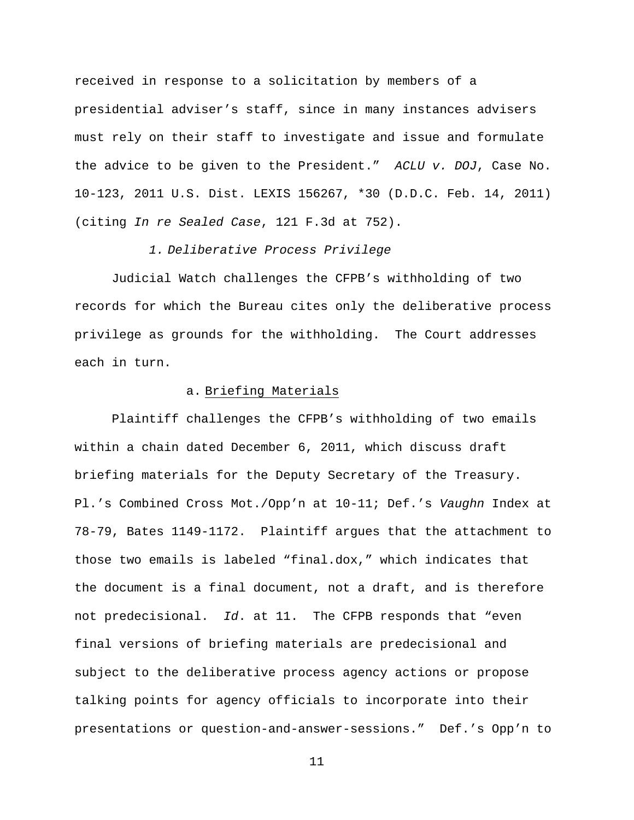received in response to a solicitation by members of a presidential adviser's staff, since in many instances advisers must rely on their staff to investigate and issue and formulate the advice to be given to the President." *ACLU v. DOJ*, Case No. 10-123, 2011 U.S. Dist. LEXIS 156267, \*30 (D.D.C. Feb. 14, 2011) (citing *In re Sealed Case*, 121 F.3d at 752).

# *1. Deliberative Process Privilege*

Judicial Watch challenges the CFPB's withholding of two records for which the Bureau cites only the deliberative process privilege as grounds for the withholding. The Court addresses each in turn.

### a. Briefing Materials

Plaintiff challenges the CFPB's withholding of two emails within a chain dated December 6, 2011, which discuss draft briefing materials for the Deputy Secretary of the Treasury. Pl.'s Combined Cross Mot./Opp'n at 10-11; Def.'s *Vaughn* Index at 78-79, Bates 1149-1172. Plaintiff argues that the attachment to those two emails is labeled "final.dox," which indicates that the document is a final document, not a draft, and is therefore not predecisional. *Id*. at 11. The CFPB responds that "even final versions of briefing materials are predecisional and subject to the deliberative process agency actions or propose talking points for agency officials to incorporate into their presentations or question-and-answer-sessions." Def.'s Opp'n to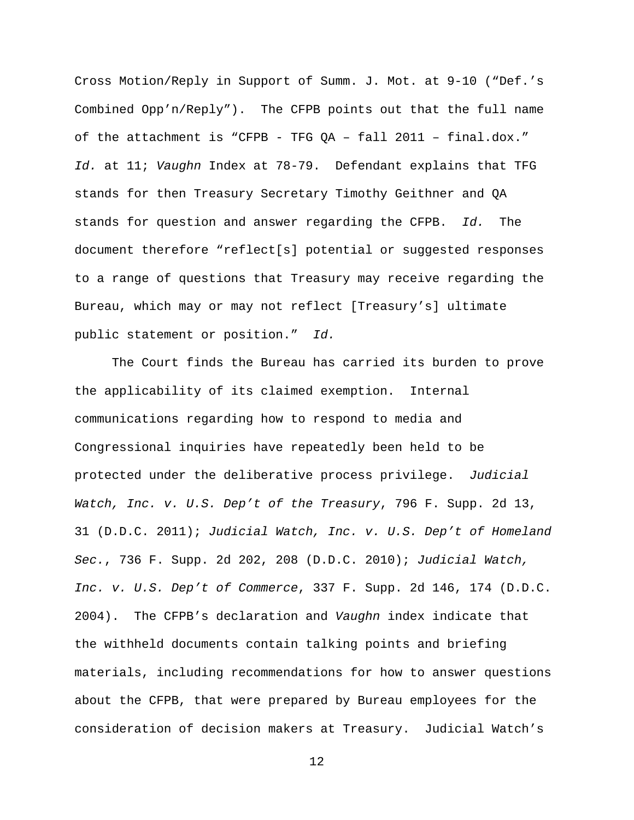Cross Motion/Reply in Support of Summ. J. Mot. at 9-10 ("Def.'s Combined Opp'n/Reply"). The CFPB points out that the full name of the attachment is "CFPB - TFG QA – fall 2011 – final.dox." *Id.* at 11; *Vaughn* Index at 78-79. Defendant explains that TFG stands for then Treasury Secretary Timothy Geithner and QA stands for question and answer regarding the CFPB. *Id.* The document therefore "reflect[s] potential or suggested responses to a range of questions that Treasury may receive regarding the Bureau, which may or may not reflect [Treasury's] ultimate public statement or position." *Id.*

The Court finds the Bureau has carried its burden to prove the applicability of its claimed exemption. Internal communications regarding how to respond to media and Congressional inquiries have repeatedly been held to be protected under the deliberative process privilege. *Judicial Watch, Inc. v. U.S. Dep't of the Treasury*, 796 F. Supp. 2d 13, 31 (D.D.C. 2011); *Judicial Watch, Inc. v. U.S. Dep't of Homeland Sec.*, 736 F. Supp. 2d 202, 208 (D.D.C. 2010); *Judicial Watch, Inc. v. U.S. Dep't of Commerce*, 337 F. Supp. 2d 146, 174 (D.D.C. 2004).The CFPB's declaration and *Vaughn* index indicate that the withheld documents contain talking points and briefing materials, including recommendations for how to answer questions about the CFPB, that were prepared by Bureau employees for the consideration of decision makers at Treasury. Judicial Watch's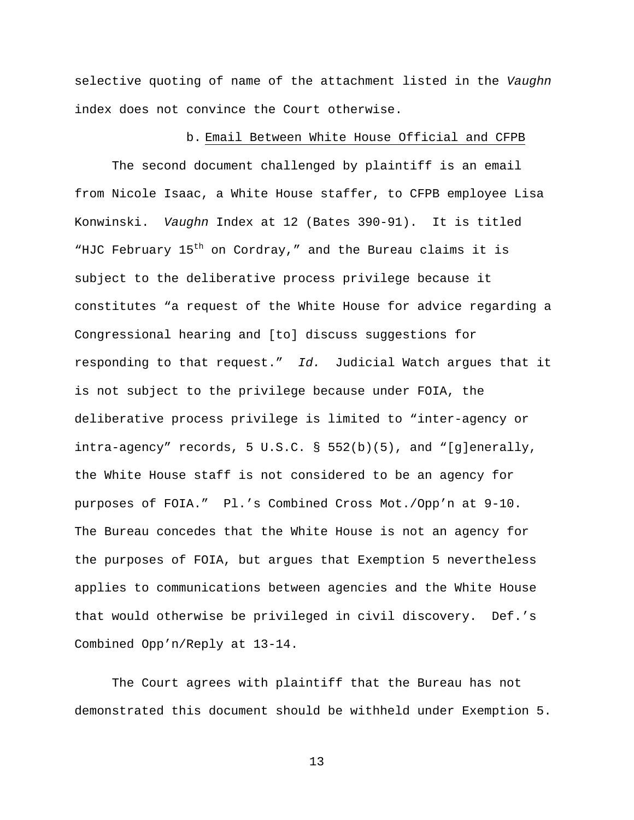selective quoting of name of the attachment listed in the *Vaughn* index does not convince the Court otherwise.

## b. Email Between White House Official and CFPB

The second document challenged by plaintiff is an email from Nicole Isaac, a White House staffer, to CFPB employee Lisa Konwinski. *Vaughn* Index at 12 (Bates 390-91). It is titled "HJC February  $15<sup>th</sup>$  on Cordray," and the Bureau claims it is subject to the deliberative process privilege because it constitutes "a request of the White House for advice regarding a Congressional hearing and [to] discuss suggestions for responding to that request." *Id.* Judicial Watch argues that it is not subject to the privilege because under FOIA, the deliberative process privilege is limited to "inter-agency or intra-agency" records, 5 U.S.C. §  $552(b)(5)$ , and "[g]enerally, the White House staff is not considered to be an agency for purposes of FOIA." Pl.'s Combined Cross Mot./Opp'n at 9-10. The Bureau concedes that the White House is not an agency for the purposes of FOIA, but argues that Exemption 5 nevertheless applies to communications between agencies and the White House that would otherwise be privileged in civil discovery. Def.'s Combined Opp'n/Reply at 13-14.

The Court agrees with plaintiff that the Bureau has not demonstrated this document should be withheld under Exemption 5.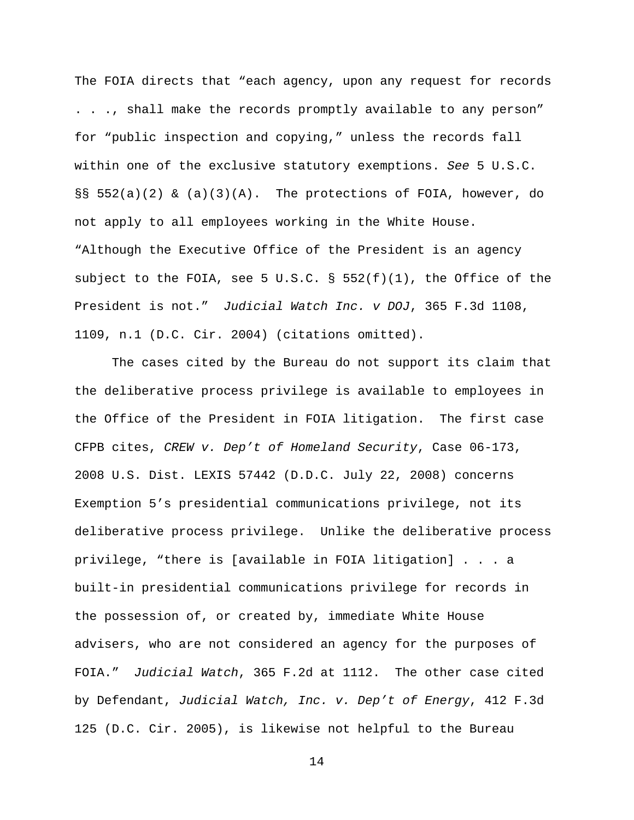The FOIA directs that "each agency, upon any request for records . . ., shall make the records promptly available to any person" for "public inspection and copying," unless the records fall within one of the exclusive statutory exemptions. *See* 5 U.S.C.  $\S$ § 552(a)(2) & (a)(3)(A). The protections of FOIA, however, do not apply to all employees working in the White House. "Although the Executive Office of the President is an agency subject to the FOIA, see 5 U.S.C.  $\S$  552(f)(1), the Office of the President is not." *Judicial Watch Inc. v DOJ*, 365 F.3d 1108, 1109, n.1 (D.C. Cir. 2004) (citations omitted).

The cases cited by the Bureau do not support its claim that the deliberative process privilege is available to employees in the Office of the President in FOIA litigation. The first case CFPB cites, *CREW v. Dep't of Homeland Security*, Case 06-173, 2008 U.S. Dist. LEXIS 57442 (D.D.C. July 22, 2008) concerns Exemption 5's presidential communications privilege, not its deliberative process privilege. Unlike the deliberative process privilege, "there is [available in FOIA litigation] . . . a built-in presidential communications privilege for records in the possession of, or created by, immediate White House advisers, who are not considered an agency for the purposes of FOIA." *Judicial Watch*, 365 F.2d at 1112. The other case cited by Defendant, *Judicial Watch, Inc. v. Dep't of Energy*, 412 F.3d 125 (D.C. Cir. 2005), is likewise not helpful to the Bureau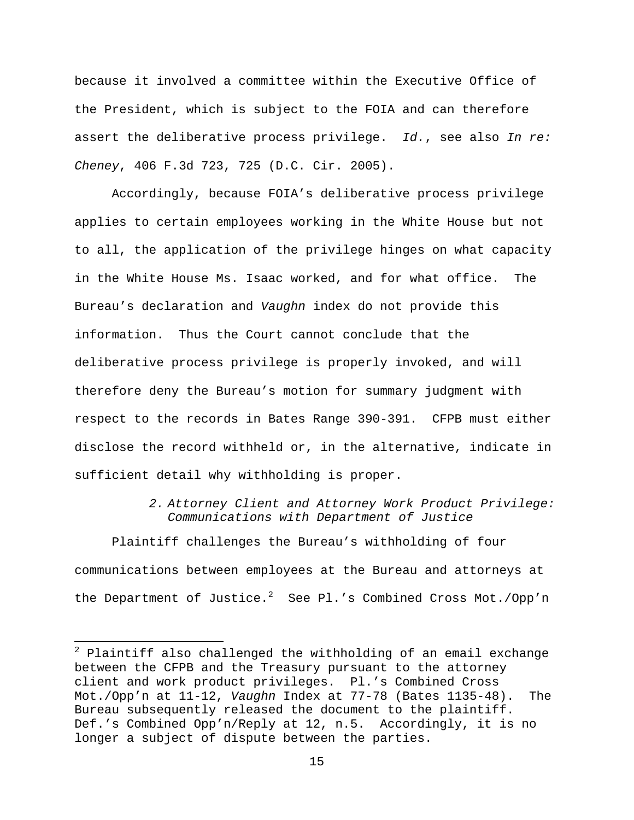because it involved a committee within the Executive Office of the President, which is subject to the FOIA and can therefore assert the deliberative process privilege. *Id.*, see also *In re: Cheney*, 406 F.3d 723, 725 (D.C. Cir. 2005).

Accordingly, because FOIA's deliberative process privilege applies to certain employees working in the White House but not to all, the application of the privilege hinges on what capacity in the White House Ms. Isaac worked, and for what office. The Bureau's declaration and *Vaughn* index do not provide this information. Thus the Court cannot conclude that the deliberative process privilege is properly invoked, and will therefore deny the Bureau's motion for summary judgment with respect to the records in Bates Range 390-391. CFPB must either disclose the record withheld or, in the alternative, indicate in sufficient detail why withholding is proper.

> *2. Attorney Client and Attorney Work Product Privilege: Communications with Department of Justice*

Plaintiff challenges the Bureau's withholding of four communications between employees at the Bureau and attorneys at the Department of Justice. $^2$  See Pl.'s Combined Cross Mot./Opp'n

 $^2$  Plaintiff also challenged the withholding of an email exchange between the CFPB and the Treasury pursuant to the attorney client and work product privileges. Pl.'s Combined Cross Mot./Opp'n at 11-12, *Vaughn* Index at 77-78 (Bates 1135-48). The Bureau subsequently released the document to the plaintiff. Def.'s Combined Opp'n/Reply at 12, n.5. Accordingly, it is no longer a subject of dispute between the parties.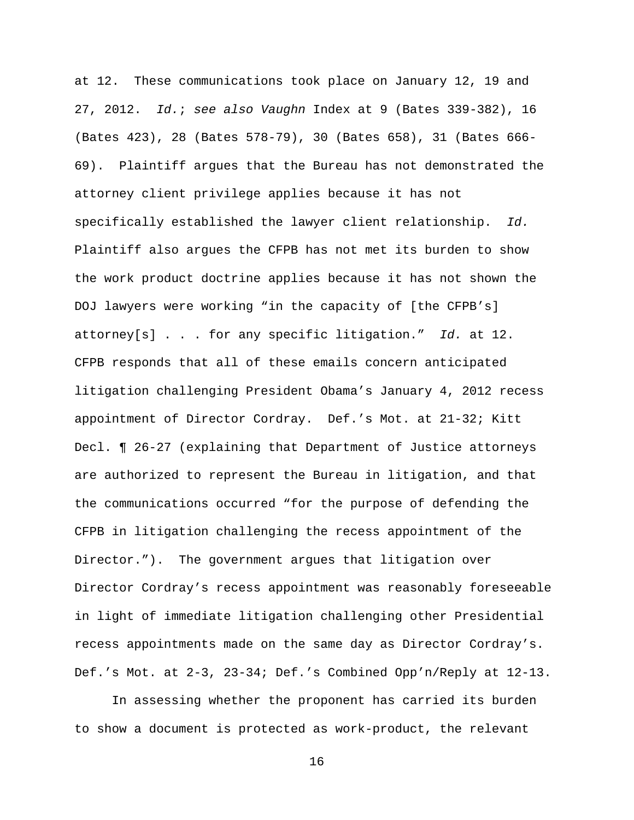at 12. These communications took place on January 12, 19 and 27, 2012. *Id.*; *see also Vaughn* Index at 9 (Bates 339-382), 16 (Bates 423), 28 (Bates 578-79), 30 (Bates 658), 31 (Bates 666- 69). Plaintiff argues that the Bureau has not demonstrated the attorney client privilege applies because it has not specifically established the lawyer client relationship. *Id.* Plaintiff also argues the CFPB has not met its burden to show the work product doctrine applies because it has not shown the DOJ lawyers were working "in the capacity of [the CFPB's] attorney[s] . . . for any specific litigation." *Id.* at 12. CFPB responds that all of these emails concern anticipated litigation challenging President Obama's January 4, 2012 recess appointment of Director Cordray. Def.'s Mot. at 21-32; Kitt Decl. ¶ 26-27 (explaining that Department of Justice attorneys are authorized to represent the Bureau in litigation, and that the communications occurred "for the purpose of defending the CFPB in litigation challenging the recess appointment of the Director."). The government argues that litigation over Director Cordray's recess appointment was reasonably foreseeable in light of immediate litigation challenging other Presidential recess appointments made on the same day as Director Cordray's. Def.'s Mot. at 2-3, 23-34; Def.'s Combined Opp'n/Reply at 12-13.

In assessing whether the proponent has carried its burden to show a document is protected as work-product, the relevant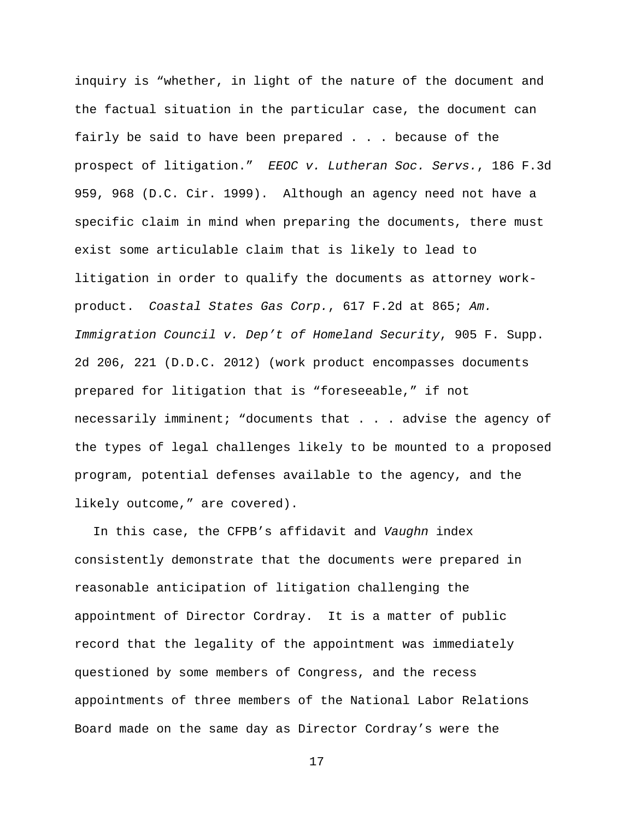inquiry is "whether, in light of the nature of the document and the factual situation in the particular case, the document can fairly be said to have been prepared . . . because of the prospect of litigation." *EEOC v. Lutheran Soc. Servs.*, 186 F.3d 959, 968 (D.C. Cir. 1999). Although an agency need not have a specific claim in mind when preparing the documents, there must exist some articulable claim that is likely to lead to litigation in order to qualify the documents as attorney workproduct. *Coastal States Gas Corp.*, 617 F.2d at 865; *Am. Immigration Council v. Dep't of Homeland Security*, 905 F. Supp. 2d 206, 221 (D.D.C. 2012) (work product encompasses documents prepared for litigation that is "foreseeable," if not necessarily imminent; "documents that . . . advise the agency of the types of legal challenges likely to be mounted to a proposed program, potential defenses available to the agency, and the likely outcome," are covered).

In this case, the CFPB's affidavit and *Vaughn* index consistently demonstrate that the documents were prepared in reasonable anticipation of litigation challenging the appointment of Director Cordray. It is a matter of public record that the legality of the appointment was immediately questioned by some members of Congress, and the recess appointments of three members of the National Labor Relations Board made on the same day as Director Cordray's were the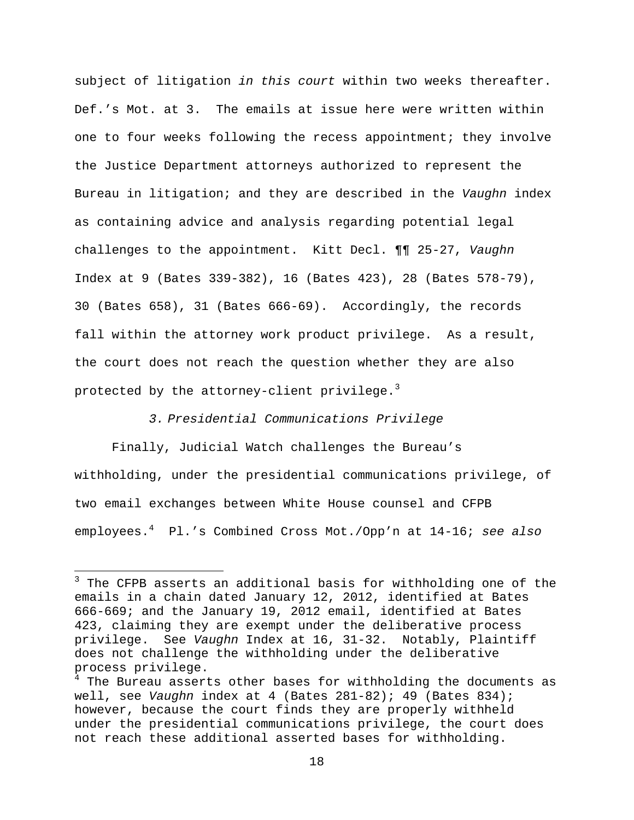subject of litigation *in this court* within two weeks thereafter. Def.'s Mot. at 3. The emails at issue here were written within one to four weeks following the recess appointment; they involve the Justice Department attorneys authorized to represent the Bureau in litigation; and they are described in the *Vaughn* index as containing advice and analysis regarding potential legal challenges to the appointment. Kitt Decl. ¶¶ 25-27, *Vaughn*  Index at 9 (Bates 339-382), 16 (Bates 423), 28 (Bates 578-79), 30 (Bates 658), 31 (Bates 666-69). Accordingly, the records fall within the attorney work product privilege. As a result, the court does not reach the question whether they are also protected by the attorney-client privilege. $3$ 

# *3. Presidential Communications Privilege*

Finally, Judicial Watch challenges the Bureau's withholding, under the presidential communications privilege, of two email exchanges between White House counsel and CFPB employees.<sup>4</sup> Pl.'s Combined Cross Mot./Opp'n at 14-16; *see also* 

<sup>&</sup>lt;sup>3</sup> The CFPB asserts an additional basis for withholding one of the emails in a chain dated January 12, 2012, identified at Bates 666-669; and the January 19, 2012 email, identified at Bates 423, claiming they are exempt under the deliberative process privilege. See *Vaughn* Index at 16, 31-32. Notably, Plaintiff does not challenge the withholding under the deliberative process privilege.

<sup>&</sup>lt;sup>4</sup> The Bureau asserts other bases for withholding the documents as well, see *Vaughn* index at 4 (Bates 281-82); 49 (Bates 834); however, because the court finds they are properly withheld under the presidential communications privilege, the court does not reach these additional asserted bases for withholding.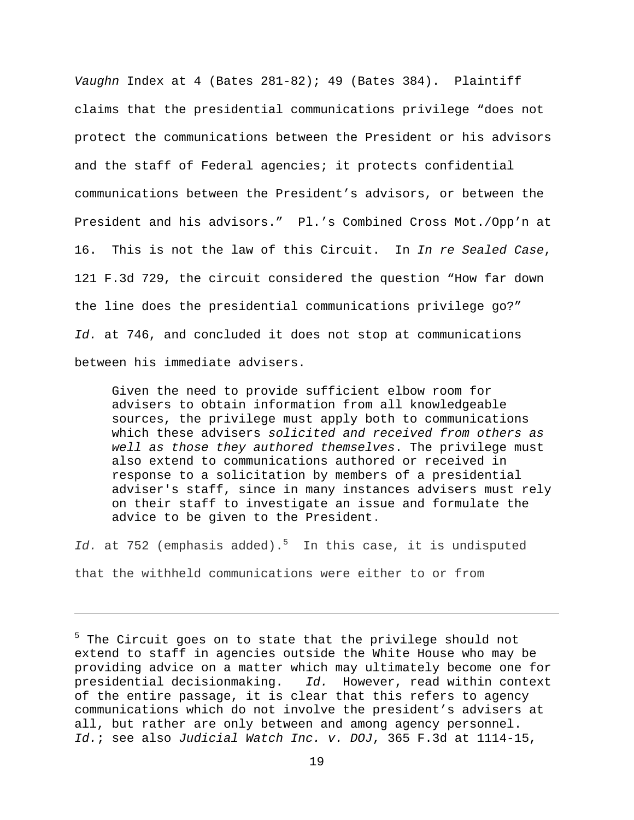*Vaughn* Index at 4 (Bates 281-82); 49 (Bates 384). Plaintiff claims that the presidential communications privilege "does not protect the communications between the President or his advisors and the staff of Federal agencies; it protects confidential communications between the President's advisors, or between the President and his advisors." Pl.'s Combined Cross Mot./Opp'n at 16. This is not the law of this Circuit. In *In re Sealed Case*, 121 F.3d 729, the circuit considered the question "How far down the line does the presidential communications privilege go?" *Id.* at 746, and concluded it does not stop at communications between his immediate advisers.

Given the need to provide sufficient elbow room for advisers to obtain information from all knowledgeable sources, the privilege must apply both to communications which these advisers *solicited and received from others as well as those they authored themselves*. The privilege must also extend to communications authored or received in response to a solicitation by members of a presidential adviser's staff, since in many instances advisers must rely on their staff to investigate an issue and formulate the advice to be given to the President.

*Id.* at 752 (emphasis added).<sup>5</sup> In this case, it is undisputed that the withheld communications were either to or from

<sup>5</sup> The Circuit goes on to state that the privilege should not extend to staff in agencies outside the White House who may be providing advice on a matter which may ultimately become one for presidential decisionmaking. *Id.* However, read within context of the entire passage, it is clear that this refers to agency communications which do not involve the president's advisers at all, but rather are only between and among agency personnel. *Id.*; see also *Judicial Watch Inc. v. DOJ*, 365 F.3d at 1114-15,

<u> 1989 - Johann Stoff, amerikansk politiker (d. 1989)</u>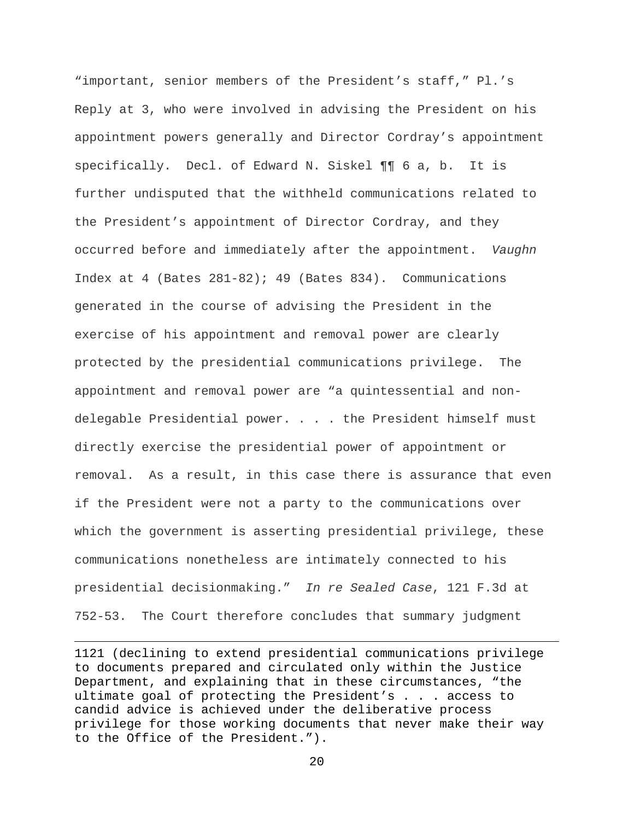"important, senior members of the President's staff," Pl.'s Reply at 3, who were involved in advising the President on his appointment powers generally and Director Cordray's appointment specifically. Decl. of Edward N. Siskel ¶¶ 6 a, b. It is further undisputed that the withheld communications related to the President's appointment of Director Cordray, and they occurred before and immediately after the appointment. *Vaughn*  Index at 4 (Bates 281-82); 49 (Bates 834). Communications generated in the course of advising the President in the exercise of his appointment and removal power are clearly protected by the presidential communications privilege. The appointment and removal power are "a quintessential and nondelegable Presidential power. . . . the President himself must directly exercise the presidential power of appointment or removal. As a result, in this case there is assurance that even if the President were not a party to the communications over which the government is asserting presidential privilege, these communications nonetheless are intimately connected to his presidential decisionmaking." *In re Sealed Case*, 121 F.3d at 752-53. The Court therefore concludes that summary judgment

1121 (declining to extend presidential communications privilege to documents prepared and circulated only within the Justice Department, and explaining that in these circumstances, "the ultimate goal of protecting the President's . . . access to candid advice is achieved under the deliberative process privilege for those working documents that never make their way to the Office of the President.").

<u> 1989 - Johann Stein, marwolaethau a gweledydd a ganlad y ganlad y ganlad y ganlad y ganlad y ganlad y ganlad</u>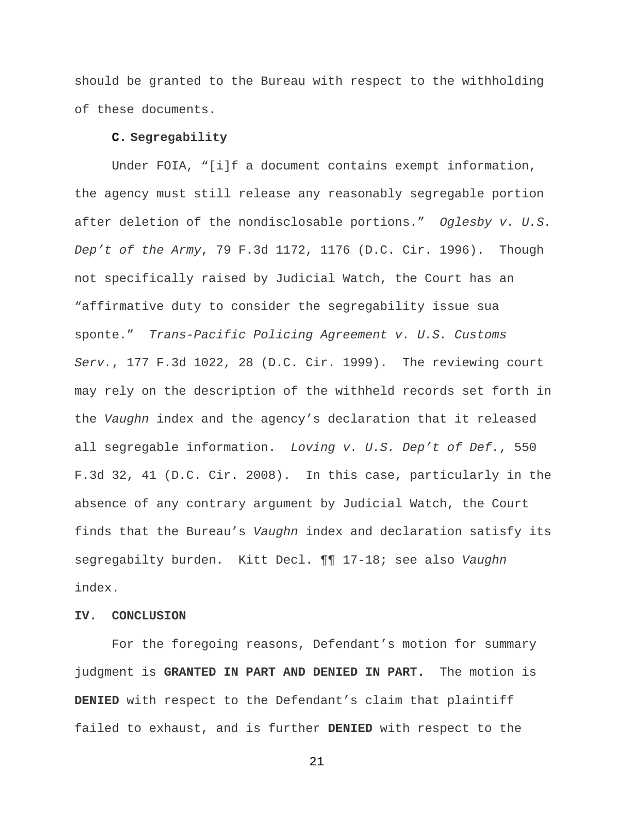should be granted to the Bureau with respect to the withholding of these documents.

# **C. Segregability**

Under FOIA, "[i]f a document contains exempt information, the agency must still release any reasonably segregable portion after deletion of the nondisclosable portions." *Oglesby v. U.S. Dep't of the Army*, 79 F.3d 1172, 1176 (D.C. Cir. 1996). Though not specifically raised by Judicial Watch, the Court has an "affirmative duty to consider the segregability issue sua sponte." *Trans-Pacific Policing Agreement v. U.S. Customs Serv.*, 177 F.3d 1022, 28 (D.C. Cir. 1999). The reviewing court may rely on the description of the withheld records set forth in the *Vaughn* index and the agency's declaration that it released all segregable information. *Loving v. U.S. Dep't of Def.*, 550 F.3d 32, 41 (D.C. Cir. 2008). In this case, particularly in the absence of any contrary argument by Judicial Watch, the Court finds that the Bureau's *Vaughn* index and declaration satisfy its segregabilty burden. Kitt Decl. ¶¶ 17-18; see also *Vaughn*  index.

# **IV. CONCLUSION**

For the foregoing reasons, Defendant's motion for summary judgment is **GRANTED IN PART AND DENIED IN PART.** The motion is **DENIED** with respect to the Defendant's claim that plaintiff failed to exhaust, and is further **DENIED** with respect to the